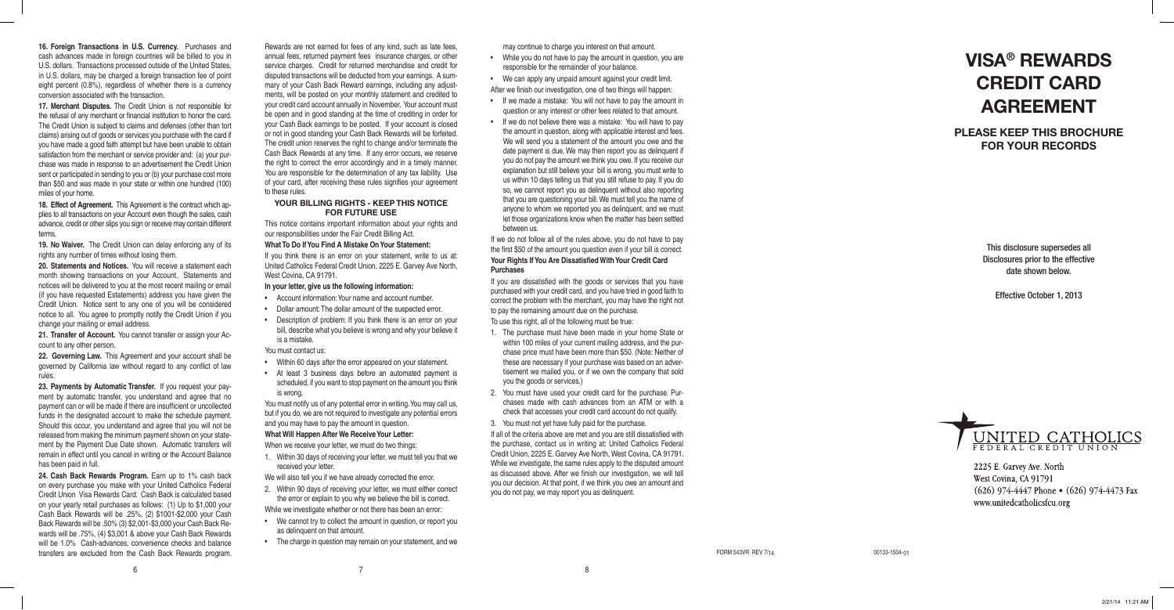This disclosure supersedes all Disclosures prior to the effective date shown below.

Effective October 1, 2013



2225 E. Garvey Ave. North West Covina, CA 91791  $(626)$  974-4447 Phone  $\bullet$  (626) 974-4473 Fax www.unitedcatholicsfcu.org

**PLEASE KEEP THIS BROCHURE FOR YOUR RECORDS** 

# **VISA® REWARDS CREDIT CARD AGREEMENT**

Rewards are not earned for fees of any kind, such as late fees, annual fees, returned payment fees insurance charges, or other service charges. Credit for returned merchandise and credit for disputed transactions will be deducted from your earnings. A sum mary of your Cash Back Reward earnings, including any adjust ments, will be posted on your monthly statement and credited to your credit card account annually in November. Your account must be open and in good standing at the time of crediting in order for your Cash Back earnings to be posted. If your account is closed or not in good standing your Cash Back Rewards will be forfeited. The credit union reserves the right to change and/or terminate the Cash Back Rewards at any time. If any error occurs, we reserve the right to correct the error accordingly and in a timely manner. You are responsible for the determination of any tax liability. Use of your card, after receiving these rules signifies your agreement to these rules.

- Account information: Your name and account number.
- • Dollar amount: The dollar amount of the suspected error.
- Description of problem: If you think there is an error on your bill, describe what you believe is wrong and why your believe it is a mistake.

- 1. Within 30 days of receiving your letter, we must tell you that we received your letter.
- We will also tell you if we have already corrected the error.
- 2. Within 90 days of receiving your letter, we must either correct the error or explain to you why we believe the bill is correct.
- While we investigate whether or not there has been an error:
- • We cannot try to collect the amount in question, or report you as delinquent on that amount.
- The charge in question may remain on your statement, and we

## **YOUR BILLING RIGHTS - KEEP THIS NOTICE FOR FUTURE USE**

This notice contains important information about your rights and our responsibilities under the Fair Credit Billing Act.

### **What To Do If You Find A Mistake On Your Statement:**

If you think there is an error on your statement, write to us at: United Catholics Federal Credit Union, 2225 E. Garvey Ave North, West Covina, CA 91791.

## **In your letter, give us the following information:**

You must contact us:

- • Within 60 days after the error appeared on your statement.
- • At least 3 business days before an automated payment is scheduled, if you want to stop payment on the amount you think is wrong.

You must notify us of any potential error in writing. You may call us, but if you do, we are not required to investigate any potential errors and you may have to pay the amount in question.

### **What Will Happen After We Receive Your Letter:**

When we receive your letter, we must do two things:

23. Payments by Automatic Transfer. If you request your payment by automatic transfer, you understand and agree that no payment can or will be made if there are insufficient or uncollected funds in the designated account to make the schedule payment. Should this occur, you understand and agree that you will not be released from making the minimum payment shown on your state ment by the Payment Due Date shown. Automatic transfers will remain in effect until you cancel in writing or the Account Balance has been paid in full.

- While you do not have to pay the amount in question, you are responsible for the remainder of your balance.
- • We can apply any unpaid amount against your credit limit.

**16. Foreign Transactions in U.S. Currency.** Purchases and cash advances made in foreign countries will be billed to you in U.S. dollars. Transactions processed outside of the United States, in U.S. dollars, may be charged a foreign transaction fee of point eight percent (0.8%), regardless of whether there is a currency conversion associated with the transaction.

**17. Merchant Disputes.** The Credit Union is not responsible for the refusal of any merchant or financial institution to honor the card. The Credit Union is subject to claims and defenses (other than tort claims) arising out of goods or services you purchase with the card if you have made a good faith attempt but have been unable to obtain satisfaction from the merchant or service provider and: (a) your pur chase was made in response to an advertisement the Credit Union sent or participated in sending to you or (b) your purchase cost more than \$50 and was made in your state or within one hundred (100) miles of your home.

**18. Effect of Agreement.** This Agreement is the contract which ap plies to all transactions on your Account even though the sales, cash advance, credit or other slips you sign or receive may contain different terms.

**19. No Waiver.** The Credit Union can delay enforcing any of its rights any number of times without losing them.

**20. Statements and Notices.** You will receive a statement each month showing transactions on your Account. Statements and notices will be delivered to you at the most recent mailing or email (if you have requested Estatements) address you have given the Credit Union. Notice sent to any one of you will be considered notice to all. You agree to promptly notify the Credit Union if you change your mailing or email address.

**21. Transfer of Account.** You cannot transfer or assign your Ac count to any other person.

**22. Governing Law.** This Agreement and your account shall be governed by California law without regard to any conflict of law rules.

**24. Cash Back Rewards Program.** Earn up to 1% cash back on every purchase you make with your United Catholics Federal Credit Union Visa Rewards Card. Cash Back is calculated based on your yearly retail purchases as follows: (1) Up to \$1,000 your Cash Back Rewards will be .25%, (2) \$1001-\$2,000 your Cash Back Rewards will be .50% (3) \$2,001-\$3,000 your Cash Back Re wards will be .75%, (4) \$3,001 & above your Cash Back Rewards will be 1.0% Cash-advances, convenience checks and balance transfers are excluded from the Cash Back Rewards program. 6

8

may continue to charge you interest on that amount.

After we finish our investigation, one of two things will happen:

- • If we made a mistake: You will not have to pay the amount in question or any interest or other fees related to that amount.
- • If we do not believe there was a mistake: You will have to pay the amount in question, along with applicable interest and fees. We will send you a statement of the amount you owe and the date payment is due. We may then report you as delinquent if you do not pay the amount we think you owe. If you receive our explanation but still believe your bill is wrong, you must write to us within 10 days telling us that you still refuse to pay. If you do so, we cannot report you as delinquent without also reporting that you are questioning your bill. We must tell you the name of anyone to whom we reported you as delinquent, and we must let those organizations know when the matter has been settled between us.

If we do not follow all of the rules above, you do not have to pay the first \$50 of the amount you question even if your bill is correct. **Your Rights If You Are Dissatisfied With Your Credit Card Purchases**

If you are dissatisfied with the goods or services that you have purchased with your credit card, and you have tried in good faith to correct the problem with the merchant, you may have the right not to pay the remaining amount due on the purchase.

To use this right, all of the following must be true:

- 1. The purchase must have been made in your home State or within 100 miles of your current mailing address, and the pur chase price must have been more than \$50. (Note: Neither of these are necessary if your purchase was based on an adver tisement we mailed you, or if we own the company that sold you the goods or services.)
- 2. You must have used your credit card for the purchase. Pur chases made with cash advances from an ATM or with a check that accesses your credit card account do not qualify.
- 3. You must not yet have fully paid for the purchase.

If all of the criteria above are met and you are still dissatisfied with the purchase, contact us in writing at: United Catholics Federal Credit Union, 2225 E. Garvey Ave North, West Covina, CA 91791. While we investigate, the same rules apply to the disputed amount as discussed above. After we finish our investigation, we will tell you our decision. At that point, if we think you owe an amount and you do not pay, we may report you as delinquent.